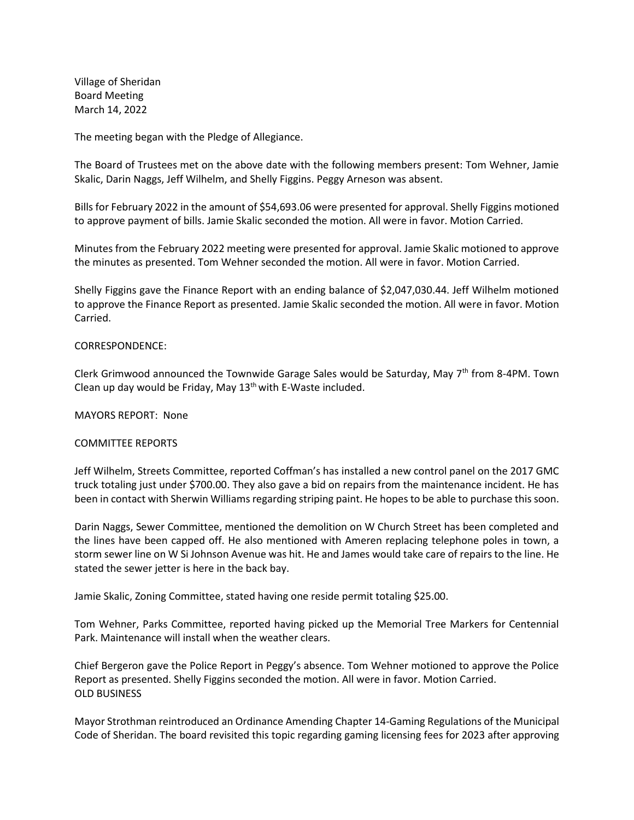Village of Sheridan Board Meeting March 14, 2022

The meeting began with the Pledge of Allegiance.

The Board of Trustees met on the above date with the following members present: Tom Wehner, Jamie Skalic, Darin Naggs, Jeff Wilhelm, and Shelly Figgins. Peggy Arneson was absent.

Bills for February 2022 in the amount of \$54,693.06 were presented for approval. Shelly Figgins motioned to approve payment of bills. Jamie Skalic seconded the motion. All were in favor. Motion Carried.

Minutes from the February 2022 meeting were presented for approval. Jamie Skalic motioned to approve the minutes as presented. Tom Wehner seconded the motion. All were in favor. Motion Carried.

Shelly Figgins gave the Finance Report with an ending balance of \$2,047,030.44. Jeff Wilhelm motioned to approve the Finance Report as presented. Jamie Skalic seconded the motion. All were in favor. Motion Carried.

## CORRESPONDENCE:

Clerk Grimwood announced the Townwide Garage Sales would be Saturday, May  $7<sup>th</sup>$  from 8-4PM. Town Clean up day would be Friday, May  $13<sup>th</sup>$  with E-Waste included.

MAYORS REPORT: None

## COMMITTEE REPORTS

Jeff Wilhelm, Streets Committee, reported Coffman's has installed a new control panel on the 2017 GMC truck totaling just under \$700.00. They also gave a bid on repairs from the maintenance incident. He has been in contact with Sherwin Williams regarding striping paint. He hopes to be able to purchase this soon.

Darin Naggs, Sewer Committee, mentioned the demolition on W Church Street has been completed and the lines have been capped off. He also mentioned with Ameren replacing telephone poles in town, a storm sewer line on W Si Johnson Avenue was hit. He and James would take care of repairs to the line. He stated the sewer jetter is here in the back bay.

Jamie Skalic, Zoning Committee, stated having one reside permit totaling \$25.00.

Tom Wehner, Parks Committee, reported having picked up the Memorial Tree Markers for Centennial Park. Maintenance will install when the weather clears.

Chief Bergeron gave the Police Report in Peggy's absence. Tom Wehner motioned to approve the Police Report as presented. Shelly Figgins seconded the motion. All were in favor. Motion Carried. OLD BUSINESS

Mayor Strothman reintroduced an Ordinance Amending Chapter 14-Gaming Regulations of the Municipal Code of Sheridan. The board revisited this topic regarding gaming licensing fees for 2023 after approving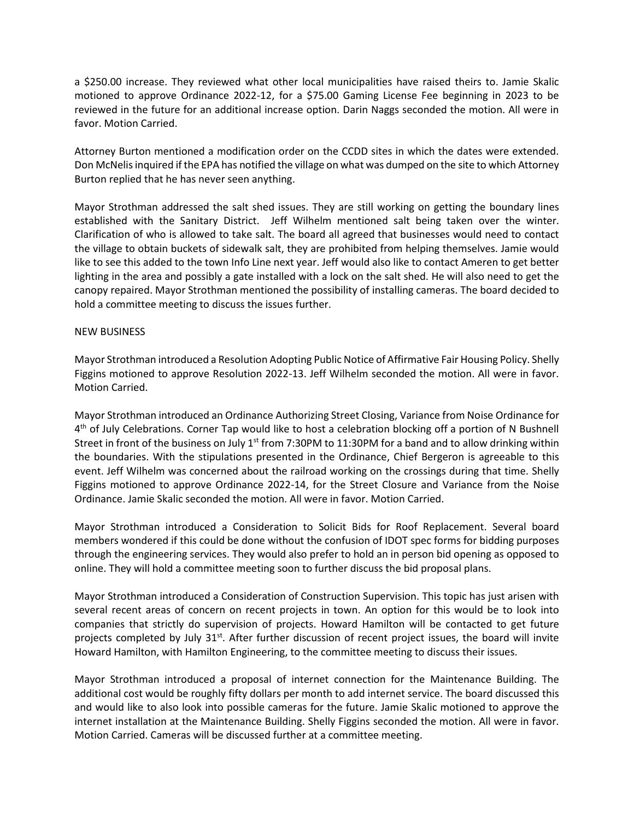a \$250.00 increase. They reviewed what other local municipalities have raised theirs to. Jamie Skalic motioned to approve Ordinance 2022-12, for a \$75.00 Gaming License Fee beginning in 2023 to be reviewed in the future for an additional increase option. Darin Naggs seconded the motion. All were in favor. Motion Carried.

Attorney Burton mentioned a modification order on the CCDD sites in which the dates were extended. Don McNelis inquired if the EPA has notified the village on what was dumped on the site to which Attorney Burton replied that he has never seen anything.

Mayor Strothman addressed the salt shed issues. They are still working on getting the boundary lines established with the Sanitary District. Jeff Wilhelm mentioned salt being taken over the winter. Clarification of who is allowed to take salt. The board all agreed that businesses would need to contact the village to obtain buckets of sidewalk salt, they are prohibited from helping themselves. Jamie would like to see this added to the town Info Line next year. Jeff would also like to contact Ameren to get better lighting in the area and possibly a gate installed with a lock on the salt shed. He will also need to get the canopy repaired. Mayor Strothman mentioned the possibility of installing cameras. The board decided to hold a committee meeting to discuss the issues further.

## NEW BUSINESS

Mayor Strothman introduced a Resolution Adopting Public Notice of Affirmative Fair Housing Policy. Shelly Figgins motioned to approve Resolution 2022-13. Jeff Wilhelm seconded the motion. All were in favor. Motion Carried.

Mayor Strothman introduced an Ordinance Authorizing Street Closing, Variance from Noise Ordinance for 4<sup>th</sup> of July Celebrations. Corner Tap would like to host a celebration blocking off a portion of N Bushnell Street in front of the business on July  $1<sup>st</sup>$  from 7:30PM to 11:30PM for a band and to allow drinking within the boundaries. With the stipulations presented in the Ordinance, Chief Bergeron is agreeable to this event. Jeff Wilhelm was concerned about the railroad working on the crossings during that time. Shelly Figgins motioned to approve Ordinance 2022-14, for the Street Closure and Variance from the Noise Ordinance. Jamie Skalic seconded the motion. All were in favor. Motion Carried.

Mayor Strothman introduced a Consideration to Solicit Bids for Roof Replacement. Several board members wondered if this could be done without the confusion of IDOT spec forms for bidding purposes through the engineering services. They would also prefer to hold an in person bid opening as opposed to online. They will hold a committee meeting soon to further discuss the bid proposal plans.

Mayor Strothman introduced a Consideration of Construction Supervision. This topic has just arisen with several recent areas of concern on recent projects in town. An option for this would be to look into companies that strictly do supervision of projects. Howard Hamilton will be contacted to get future projects completed by July 31<sup>st</sup>. After further discussion of recent project issues, the board will invite Howard Hamilton, with Hamilton Engineering, to the committee meeting to discuss their issues.

Mayor Strothman introduced a proposal of internet connection for the Maintenance Building. The additional cost would be roughly fifty dollars per month to add internet service. The board discussed this and would like to also look into possible cameras for the future. Jamie Skalic motioned to approve the internet installation at the Maintenance Building. Shelly Figgins seconded the motion. All were in favor. Motion Carried. Cameras will be discussed further at a committee meeting.